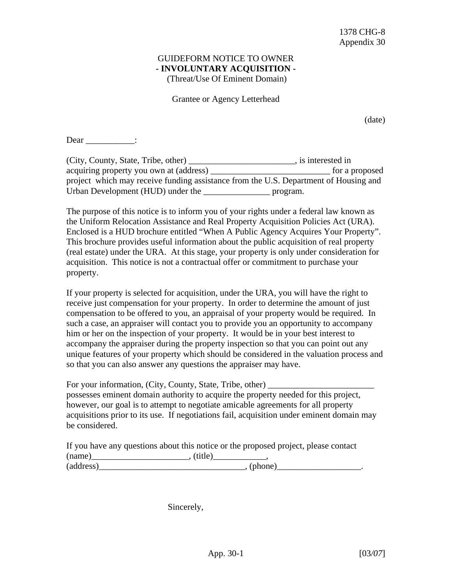## GUIDEFORM NOTICE TO OWNER **- INVOLUNTARY ACQUISITION -**

(Threat/Use Of Eminent Domain)

Grantee or Agency Letterhead

(date)

Dear \_\_\_\_\_\_\_\_\_\_\_:

| (City, County, State, Tribe, other)                                                  | is interested in |
|--------------------------------------------------------------------------------------|------------------|
| acquiring property you own at (address)                                              | for a proposed   |
| project which may receive funding assistance from the U.S. Department of Housing and |                  |
| Urban Development (HUD) under the                                                    | program.         |

The purpose of this notice is to inform you of your rights under a federal law known as the Uniform Relocation Assistance and Real Property Acquisition Policies Act (URA). Enclosed is a HUD brochure entitled "When A Public Agency Acquires Your Property". This brochure provides useful information about the public acquisition of real property (real estate) under the URA. At this stage, your property is only under consideration for acquisition. This notice is not a contractual offer or commitment to purchase your property.

If your property is selected for acquisition, under the URA, you will have the right to receive just compensation for your property. In order to determine the amount of just compensation to be offered to you, an appraisal of your property would be required. In such a case, an appraiser will contact you to provide you an opportunity to accompany him or her on the inspection of your property. It would be in your best interest to accompany the appraiser during the property inspection so that you can point out any unique features of your property which should be considered in the valuation process and so that you can also answer any questions the appraiser may have.

For your information, (City, County, State, Tribe, other) possesses eminent domain authority to acquire the property needed for this project, however, our goal is to attempt to negotiate amicable agreements for all property acquisitions prior to its use. If negotiations fail, acquisition under eminent domain may be considered.

|           | If you have any questions about this notice or the proposed project, please contact |
|-----------|-------------------------------------------------------------------------------------|
| (name)    | (title)                                                                             |
| (address) | , (phone)                                                                           |

Sincerely,